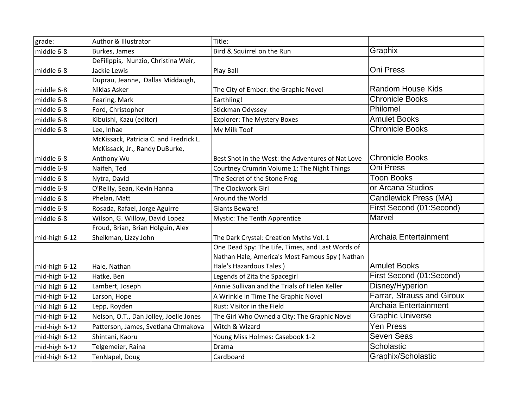| grade:        | Author & Illustrator                   | Title:                                            |                            |
|---------------|----------------------------------------|---------------------------------------------------|----------------------------|
| middle 6-8    | Burkes, James                          | Bird & Squirrel on the Run                        | Graphix                    |
|               | DeFilippis, Nunzio, Christina Weir,    |                                                   |                            |
| middle 6-8    | Jackie Lewis                           | <b>Play Ball</b>                                  | Oni Press                  |
|               | Duprau, Jeanne, Dallas Middaugh,       |                                                   |                            |
| middle 6-8    | Niklas Asker                           | The City of Ember: the Graphic Novel              | <b>Random House Kids</b>   |
| middle 6-8    | Fearing, Mark                          | Earthling!                                        | <b>Chronicle Books</b>     |
| middle 6-8    | Ford, Christopher                      | Stickman Odyssey                                  | Philomel                   |
| middle 6-8    | Kibuishi, Kazu (editor)                | <b>Explorer: The Mystery Boxes</b>                | <b>Amulet Books</b>        |
| middle 6-8    | Lee, Inhae                             | My Milk Toof                                      | <b>Chronicle Books</b>     |
|               | McKissack, Patricia C. and Fredrick L. |                                                   |                            |
|               | McKissack, Jr., Randy DuBurke,         |                                                   |                            |
| middle 6-8    | Anthony Wu                             | Best Shot in the West: the Adventures of Nat Love | <b>Chronicle Books</b>     |
| middle 6-8    | Naifeh, Ted                            | Courtney Crumrin Volume 1: The Night Things       | Oni Press                  |
| middle 6-8    | Nytra, David                           | The Secret of the Stone Frog                      | <b>Toon Books</b>          |
| middle 6-8    | O'Reilly, Sean, Kevin Hanna            | The Clockwork Girl                                | or Arcana Studios          |
| middle 6-8    | Phelan, Matt                           | Around the World                                  | Candlewick Press (MA)      |
| middle 6-8    | Rosada, Rafael, Jorge Aguirre          | <b>Giants Beware!</b>                             | First Second (01:Second)   |
| middle 6-8    | Wilson, G. Willow, David Lopez         | Mystic: The Tenth Apprentice                      | Marvel                     |
|               | Froud, Brian, Brian Holguin, Alex      |                                                   |                            |
| mid-high 6-12 | Sheikman, Lizzy John                   | The Dark Crystal: Creation Myths Vol. 1           | Archaia Entertainment      |
|               |                                        | One Dead Spy: The Life, Times, and Last Words of  |                            |
|               |                                        | Nathan Hale, America's Most Famous Spy (Nathan    |                            |
| mid-high 6-12 | Hale, Nathan                           | Hale's Hazardous Tales)                           | <b>Amulet Books</b>        |
| mid-high 6-12 | Hatke, Ben                             | Legends of Zita the Spacegirl                     | First Second (01:Second)   |
| mid-high 6-12 | Lambert, Joseph                        | Annie Sullivan and the Trials of Helen Keller     | Disney/Hyperion            |
| mid-high 6-12 | Larson, Hope                           | A Wrinkle in Time The Graphic Novel               | Farrar, Strauss and Giroux |
| mid-high 6-12 | Lepp, Royden                           | Rust: Visitor in the Field                        | Archaia Entertainment      |
| mid-high 6-12 | Nelson, O.T., Dan Jolley, Joelle Jones | The Girl Who Owned a City: The Graphic Novel      | <b>Graphic Universe</b>    |
| mid-high 6-12 | Patterson, James, Svetlana Chmakova    | Witch & Wizard                                    | <b>Yen Press</b>           |
| mid-high 6-12 | Shintani, Kaoru                        | Young Miss Holmes: Casebook 1-2                   | <b>Seven Seas</b>          |
| mid-high 6-12 | Telgemeier, Raina                      | Drama                                             | Scholastic                 |
| mid-high 6-12 | TenNapel, Doug                         | Cardboard                                         | Graphix/Scholastic         |